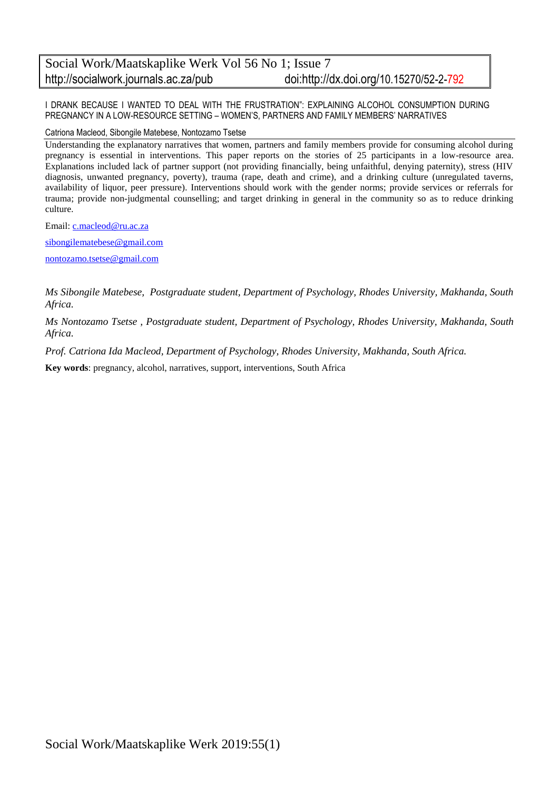# Social Work/Maatskaplike Werk Vol 56 No 1; Issue 7 http://socialwork.journals.ac.za/pub doi:http://dx.doi.org/10.15270/52-2-792

I DRANK BECAUSE I WANTED TO DEAL WITH THE FRUSTRATION": EXPLAINING ALCOHOL CONSUMPTION DURING PREGNANCY IN A LOW-RESOURCE SETTING – WOMEN'S, PARTNERS AND FAMILY MEMBERS' NARRATIVES

Catriona Macleod, Sibongile Matebese, Nontozamo Tsetse

Understanding the explanatory narratives that women, partners and family members provide for consuming alcohol during pregnancy is essential in interventions. This paper reports on the stories of 25 participants in a low-resource area. Explanations included lack of partner support (not providing financially, being unfaithful, denying paternity), stress (HIV diagnosis, unwanted pregnancy, poverty), trauma (rape, death and crime), and a drinking culture (unregulated taverns, availability of liquor, peer pressure). Interventions should work with the gender norms; provide services or referrals for trauma; provide non-judgmental counselling; and target drinking in general in the community so as to reduce drinking culture.

Email: [c.macleod@ru.ac.za](mailto:c.macleod@ru.ac.za)

[sibongilematebese@gmail.com](mailto:sibongilematebese@gmail.com)

[nontozamo.tsetse@gmail.com](mailto:nontozamo.tsetse@gmail.com)

*Ms Sibongile Matebese, Postgraduate student, Department of Psychology, Rhodes University, Makhanda, South Africa.*

*Ms Nontozamo Tsetse , Postgraduate student, Department of Psychology, Rhodes University, Makhanda, South Africa.*

*Prof. Catriona Ida Macleod, Department of Psychology, Rhodes University, Makhanda, South Africa.*

**Key words**: pregnancy, alcohol, narratives, support, interventions, South Africa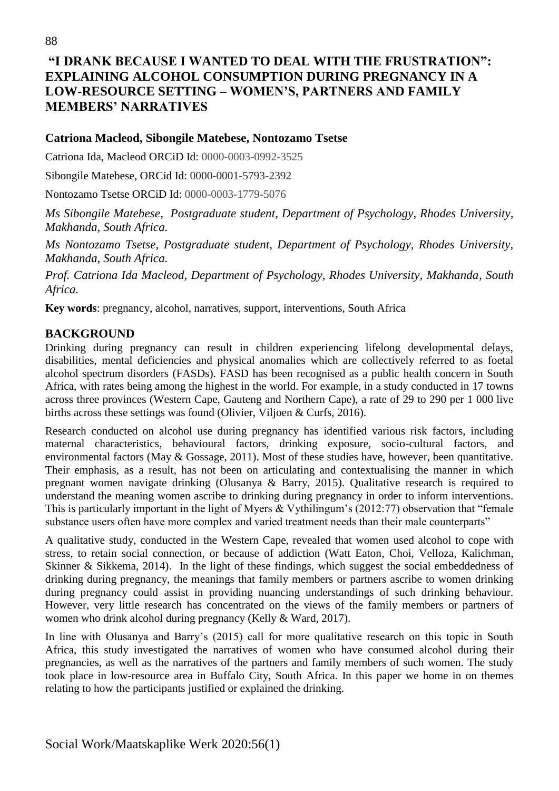# **"I DRANK BECAUSE I WANTED TO DEAL WITH THE FRUSTRATION": EXPLAINING ALCOHOL CONSUMPTION DURING PREGNANCY IN A LOW-RESOURCE SETTING – WOMEN'S, PARTNERS AND FAMILY MEMBERS' NARRATIVES**

#### **Catriona Macleod, Sibongile Matebese, Nontozamo Tsetse**

Catriona Ida, Macleod ORCiD Id: 0000-0003-0992-3525

Sibongile Matebese, ORCid Id: 0000-0001-5793-2392

Nontozamo Tsetse ORCiD Id: 0000-0003-1779-5076

*Ms Sibongile Matebese, Postgraduate student, Department of Psychology, Rhodes University, Makhanda, South Africa.*

*Ms Nontozamo Tsetse, Postgraduate student, Department of Psychology, Rhodes University, Makhanda, South Africa.*

*Prof. Catriona Ida Macleod, Department of Psychology, Rhodes University, Makhanda, South Africa.*

**Key words**: pregnancy, alcohol, narratives, support, interventions, South Africa

### **BACKGROUND**

Drinking during pregnancy can result in children experiencing lifelong developmental delays, disabilities, mental deficiencies and physical anomalies which are collectively referred to as foetal alcohol spectrum disorders (FASDs). FASD has been recognised as a public health concern in South Africa, with rates being among the highest in the world. For example, in a study conducted in 17 towns across three provinces (Western Cape, Gauteng and Northern Cape), a rate of 29 to 290 per 1 000 live births across these settings was found (Olivier, Viljoen & Curfs, 2016).

Research conducted on alcohol use during pregnancy has identified various risk factors, including maternal characteristics, behavioural factors, drinking exposure, socio-cultural factors, and environmental factors (May & Gossage, 2011). Most of these studies have, however, been quantitative. Their emphasis, as a result, has not been on articulating and contextualising the manner in which pregnant women navigate drinking (Olusanya & Barry, 2015). Qualitative research is required to understand the meaning women ascribe to drinking during pregnancy in order to inform interventions. This is particularly important in the light of Myers & Vythilingum's (2012:77) observation that "female substance users often have more complex and varied treatment needs than their male counterparts"

A qualitative study, conducted in the Western Cape, revealed that women used alcohol to cope with stress, to retain social connection, or because of addiction (Watt Eaton, Choi, Velloza, Kalichman, Skinner & Sikkema, 2014). In the light of these findings, which suggest the social embeddedness of drinking during pregnancy, the meanings that family members or partners ascribe to women drinking during pregnancy could assist in providing nuancing understandings of such drinking behaviour. However, very little research has concentrated on the views of the family members or partners of women who drink alcohol during pregnancy (Kelly & Ward, 2017).

In line with Olusanya and Barry's (2015) call for more qualitative research on this topic in South Africa, this study investigated the narratives of women who have consumed alcohol during their pregnancies, as well as the narratives of the partners and family members of such women. The study took place in low-resource area in Buffalo City, South Africa. In this paper we home in on themes relating to how the participants justified or explained the drinking.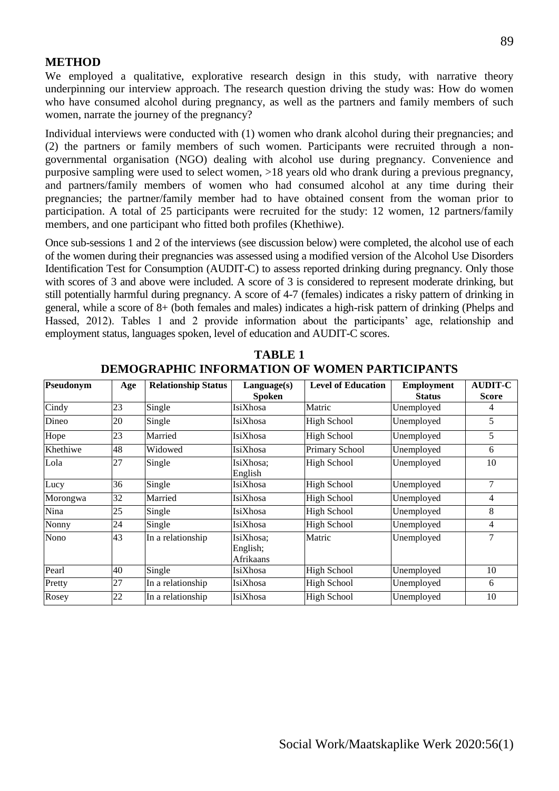#### **METHOD**

We employed a qualitative, explorative research design in this study, with narrative theory underpinning our interview approach. The research question driving the study was: How do women who have consumed alcohol during pregnancy, as well as the partners and family members of such women, narrate the journey of the pregnancy?

Individual interviews were conducted with (1) women who drank alcohol during their pregnancies; and (2) the partners or family members of such women. Participants were recruited through a nongovernmental organisation (NGO) dealing with alcohol use during pregnancy. Convenience and purposive sampling were used to select women, >18 years old who drank during a previous pregnancy, and partners/family members of women who had consumed alcohol at any time during their pregnancies; the partner/family member had to have obtained consent from the woman prior to participation. A total of 25 participants were recruited for the study: 12 women, 12 partners/family members, and one participant who fitted both profiles (Khethiwe).

Once sub-sessions 1 and 2 of the interviews (see discussion below) were completed, the alcohol use of each of the women during their pregnancies was assessed using a modified version of the Alcohol Use Disorders Identification Test for Consumption (AUDIT-C) to assess reported drinking during pregnancy. Only those with scores of 3 and above were included. A score of 3 is considered to represent moderate drinking, but still potentially harmful during pregnancy. A score of 4-7 (females) indicates a risky pattern of drinking in general, while a score of 8+ (both females and males) indicates a high-risk pattern of drinking (Phelps and Hassed, 2012). Tables 1 and 2 provide information about the participants' age, relationship and employment status, languages spoken, level of education and AUDIT-C scores.

| Pseudonym | Age | <b>Relationship Status</b> | Language(s)                        | <b>Level of Education</b> | <b>Employment</b> | <b>AUDIT-C</b> |
|-----------|-----|----------------------------|------------------------------------|---------------------------|-------------------|----------------|
|           |     |                            | <b>Spoken</b>                      |                           | <b>Status</b>     | <b>Score</b>   |
| Cindy     | 23  | Single                     | IsiXhosa                           | Matric                    | Unemployed        | 4              |
| Dineo     | 20  | Single                     | <b>IsiXhosa</b>                    | <b>High School</b>        | Unemployed        | 5              |
| Hope      | 23  | Married                    | IsiXhosa                           | <b>High School</b>        | Unemployed        | 5              |
| Khethiwe  | 48  | Widowed                    | IsiXhosa                           | Primary School            | Unemployed        | 6              |
| Lola      | 27  | Single                     | IsiXhosa;<br>English               | <b>High School</b>        | Unemployed        | 10             |
| Lucy      | 36  | Single                     | IsiXhosa                           | <b>High School</b>        | Unemployed        | 7              |
| Morongwa  | 32  | Married                    | IsiXhosa                           | <b>High School</b>        | Unemployed        | 4              |
| Nina      | 25  | Single                     | IsiXhosa                           | <b>High School</b>        | Unemployed        | 8              |
| Nonny     | 24  | Single                     | IsiXhosa                           | <b>High School</b>        | Unemployed        | 4              |
| Nono      | 43  | In a relationship          | IsiXhosa;<br>English;<br>Afrikaans | Matric                    | Unemployed        | 7              |
| Pearl     | 40  | Single                     | IsiXhosa                           | <b>High School</b>        | Unemployed        | 10             |
| Pretty    | 27  | In a relationship          | IsiXhosa                           | <b>High School</b>        | Unemployed        | 6              |
| Rosey     | 22  | In a relationship          | IsiXhosa                           | <b>High School</b>        | Unemployed        | 10             |

**TABLE 1 DEMOGRAPHIC INFORMATION OF WOMEN PARTICIPANTS**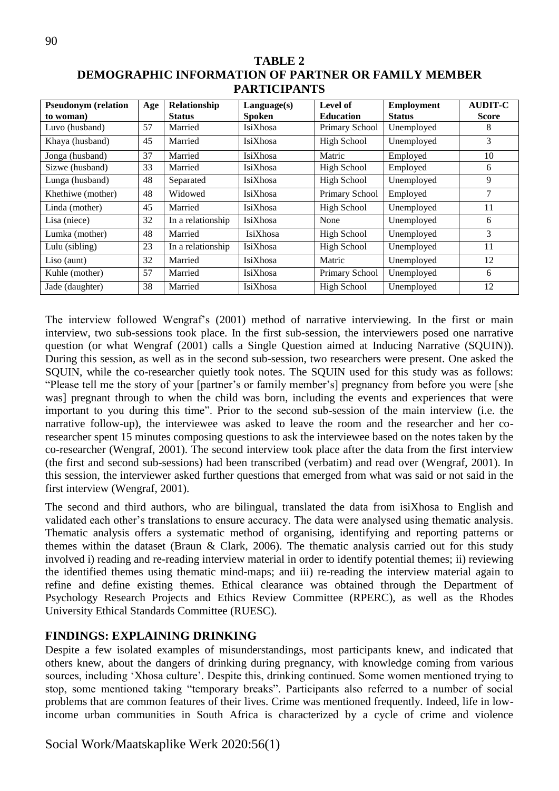| TABLE 2                                                    |  |  |  |  |  |  |  |  |
|------------------------------------------------------------|--|--|--|--|--|--|--|--|
| <b>DEMOGRAPHIC INFORMATION OF PARTNER OR FAMILY MEMBER</b> |  |  |  |  |  |  |  |  |
| <b>PARTICIPANTS</b>                                        |  |  |  |  |  |  |  |  |

| <b>Pseudonym</b> (relation | Age | Relationship      | Language(s)     | Level of           | <b>Employment</b> | <b>AUDIT-C</b> |
|----------------------------|-----|-------------------|-----------------|--------------------|-------------------|----------------|
| to woman)                  |     | <b>Status</b>     | <b>Spoken</b>   | <b>Education</b>   | <b>Status</b>     | <b>Score</b>   |
| Luvo (husband)             | 57  | Married           | IsiXhosa        | Primary School     | Unemployed        | 8              |
| Khaya (husband)            | 45  | Married           | <b>IsiXhosa</b> | <b>High School</b> | Unemployed        | 3              |
| Jonga (husband)            | 37  | Married           | <b>IsiXhosa</b> | Matric             | Employed          | 10             |
| Sizwe (husband)            | 33  | Married           | IsiXhosa        | <b>High School</b> | Employed          | 6              |
| Lunga (husband)            | 48  | Separated         | IsiXhosa        | High School        | Unemployed        | 9              |
| Khethiwe (mother)          | 48  | Widowed           | <b>IsiXhosa</b> | Primary School     | Employed          | 7              |
| Linda (mother)             | 45  | Married           | <b>IsiXhosa</b> | <b>High School</b> | Unemployed        | 11             |
| Lisa (niece)               | 32  | In a relationship | IsiXhosa        | None               | Unemployed        | 6              |
| Lumka (mother)             | 48  | Married           | IsiXhosa        | High School        | Unemployed        | 3              |
| Lulu (sibling)             | 23  | In a relationship | <b>IsiXhosa</b> | High School        | Unemployed        | 11             |
| Liso (aunt)                | 32  | Married           | IsiXhosa        | Matric             | Unemployed        | 12             |
| Kuhle (mother)             | 57  | Married           | <b>IsiXhosa</b> | Primary School     | Unemployed        | 6              |
| Jade (daughter)            | 38  | Married           | IsiXhosa        | High School        | Unemployed        | 12             |

The interview followed Wengraf's (2001) method of narrative interviewing. In the first or main interview, two sub-sessions took place. In the first sub-session, the interviewers posed one narrative question (or what Wengraf (2001) calls a Single Question aimed at Inducing Narrative (SQUIN)). During this session, as well as in the second sub-session, two researchers were present. One asked the SQUIN, while the co-researcher quietly took notes. The SQUIN used for this study was as follows: "Please tell me the story of your [partner's or family member's] pregnancy from before you were [she was] pregnant through to when the child was born, including the events and experiences that were important to you during this time". Prior to the second sub-session of the main interview (i.e. the narrative follow-up), the interviewee was asked to leave the room and the researcher and her coresearcher spent 15 minutes composing questions to ask the interviewee based on the notes taken by the co-researcher (Wengraf, 2001). The second interview took place after the data from the first interview (the first and second sub-sessions) had been transcribed (verbatim) and read over (Wengraf, 2001). In this session, the interviewer asked further questions that emerged from what was said or not said in the first interview (Wengraf, 2001).

The second and third authors, who are bilingual, translated the data from isiXhosa to English and validated each other's translations to ensure accuracy. The data were analysed using thematic analysis. Thematic analysis offers a systematic method of organising, identifying and reporting patterns or themes within the dataset (Braun & Clark, 2006). The thematic analysis carried out for this study involved i) reading and re-reading interview material in order to identify potential themes; ii) reviewing the identified themes using thematic mind-maps; and iii) re-reading the interview material again to refine and define existing themes. Ethical clearance was obtained through the Department of Psychology Research Projects and Ethics Review Committee (RPERC), as well as the Rhodes University Ethical Standards Committee (RUESC).

## **FINDINGS: EXPLAINING DRINKING**

Despite a few isolated examples of misunderstandings, most participants knew, and indicated that others knew, about the dangers of drinking during pregnancy, with knowledge coming from various sources, including 'Xhosa culture'. Despite this, drinking continued. Some women mentioned trying to stop, some mentioned taking "temporary breaks". Participants also referred to a number of social problems that are common features of their lives. Crime was mentioned frequently. Indeed, life in lowincome urban communities in South Africa is characterized by a cycle of crime and violence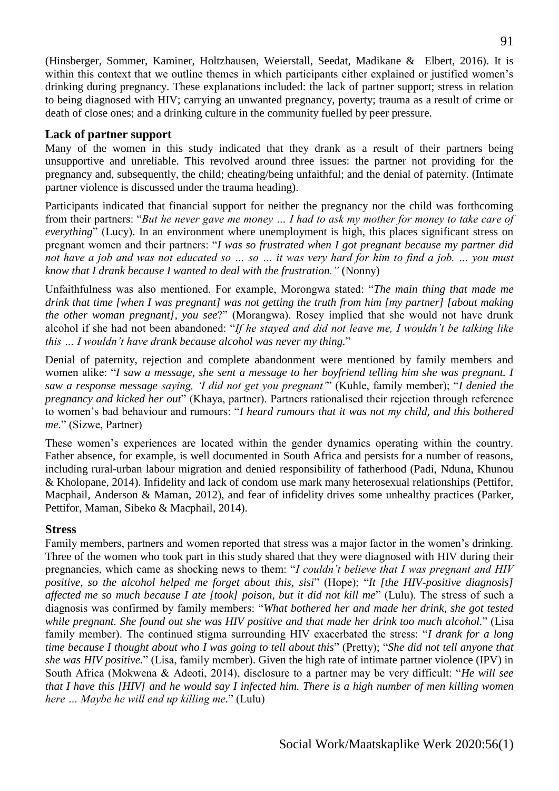(Hinsberger, Sommer, Kaminer, Holtzhausen, Weierstall, Seedat, Madikane & Elbert, 2016). It is within this context that we outline themes in which participants either explained or justified women's drinking during pregnancy. These explanations included: the lack of partner support; stress in relation to being diagnosed with HIV; carrying an unwanted pregnancy, poverty; trauma as a result of crime or death of close ones; and a drinking culture in the community fuelled by peer pressure.

### **Lack of partner support**

Many of the women in this study indicated that they drank as a result of their partners being unsupportive and unreliable. This revolved around three issues: the partner not providing for the pregnancy and, subsequently, the child; cheating/being unfaithful; and the denial of paternity. (Intimate partner violence is discussed under the trauma heading).

Participants indicated that financial support for neither the pregnancy nor the child was forthcoming from their partners: "*But he never gave me money … I had to ask my mother for money to take care of everything*" (Lucy). In an environment where unemployment is high, this places significant stress on pregnant women and their partners: "*I was so frustrated when I got pregnant because my partner did not have a job and was not educated so … so … it was very hard for him to find a job. … you must know that I drank because I wanted to deal with the frustration."* (Nonny)

Unfaithfulness was also mentioned. For example, Morongwa stated: "*The main thing that made me drink that time [when I was pregnant] was not getting the truth from him [my partner] [about making the other woman pregnant], you see*?" (Morangwa). Rosey implied that she would not have drunk alcohol if she had not been abandoned: "*If he stayed and did not leave me, I wouldn't be talking like this … I wouldn't have drank because alcohol was never my thing.*"

Denial of paternity, rejection and complete abandonment were mentioned by family members and women alike: "*I saw a message, she sent a message to her boyfriend telling him she was pregnant. I saw a response message saying, 'I did not get you pregnant'*" (Kuhle, family member); "*I denied the pregnancy and kicked her out*" (Khaya, partner). Partners rationalised their rejection through reference to women's bad behaviour and rumours: "*I heard rumours that it was not my child, and this bothered me*." (Sizwe, Partner)

These women's experiences are located within the gender dynamics operating within the country. Father absence, for example, is well documented in South Africa and persists for a number of reasons, including rural-urban labour migration and denied responsibility of fatherhood (Padi, Nduna, Khunou & Kholopane, 2014). Infidelity and lack of condom use mark many heterosexual relationships (Pettifor, Macphail, Anderson & Maman, 2012), and fear of infidelity drives some unhealthy practices (Parker, Pettifor, Maman, Sibeko & Macphail, 2014).

## **Stress**

Family members, partners and women reported that stress was a major factor in the women's drinking. Three of the women who took part in this study shared that they were diagnosed with HIV during their pregnancies, which came as shocking news to them: "*I couldn't believe that I was pregnant and HIV positive, so the alcohol helped me forget about this, sisi*" (Hope); "*It [the HIV-positive diagnosis] affected me so much because I ate [took] poison, but it did not kill me*" (Lulu). The stress of such a diagnosis was confirmed by family members: "*What bothered her and made her drink, she got tested while pregnant. She found out she was HIV positive and that made her drink too much alcohol.*" (Lisa family member). The continued stigma surrounding HIV exacerbated the stress: "*I drank for a long time because I thought about who I was going to tell about this*" (Pretty); "*She did not tell anyone that she was HIV positive.*" (Lisa, family member). Given the high rate of intimate partner violence (IPV) in South Africa (Mokwena & Adeoti, 2014), disclosure to a partner may be very difficult: "*He will see that I have this [HIV] and he would say I infected him. There is a high number of men killing women here … Maybe he will end up killing me.*" (Lulu)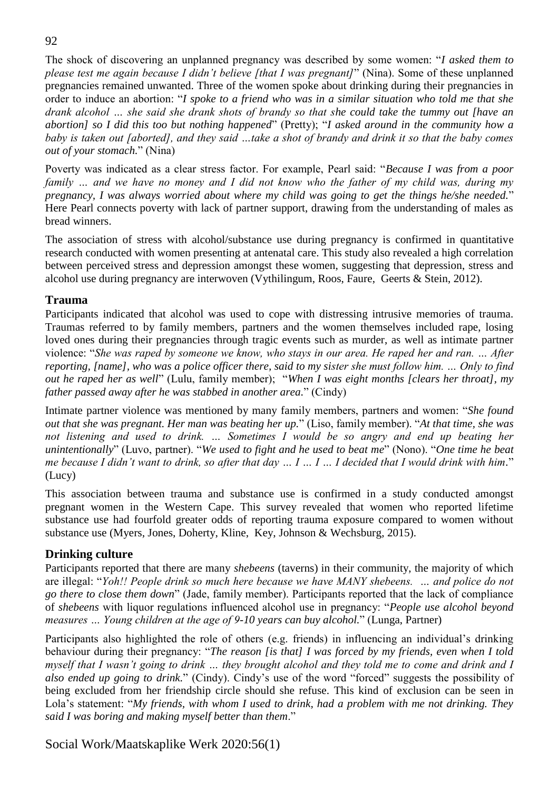The shock of discovering an unplanned pregnancy was described by some women: "*I asked them to please test me again because I didn't believe [that I was pregnant]*" (Nina). Some of these unplanned pregnancies remained unwanted. Three of the women spoke about drinking during their pregnancies in order to induce an abortion: "*I spoke to a friend who was in a similar situation who told me that she drank alcohol … she said she drank shots of brandy so that she could take the tummy out [have an abortion] so I did this too but nothing happened*" (Pretty); "*I asked around in the community how a baby is taken out [aborted], and they said …take a shot of brandy and drink it so that the baby comes out of your stomach.*" (Nina)

Poverty was indicated as a clear stress factor. For example, Pearl said: "*Because I was from a poor family … and we have no money and I did not know who the father of my child was, during my pregnancy, I was always worried about where my child was going to get the things he/she needed.*" Here Pearl connects poverty with lack of partner support, drawing from the understanding of males as bread winners.

The association of stress with alcohol/substance use during pregnancy is confirmed in quantitative research conducted with women presenting at antenatal care. This study also revealed a high correlation between perceived stress and depression amongst these women, suggesting that depression, stress and alcohol use during pregnancy are interwoven (Vythilingum, Roos, Faure, Geerts & Stein, 2012).

### **Trauma**

Participants indicated that alcohol was used to cope with distressing intrusive memories of trauma. Traumas referred to by family members, partners and the women themselves included rape, losing loved ones during their pregnancies through tragic events such as murder, as well as intimate partner violence: "*She was raped by someone we know, who stays in our area. He raped her and ran. … After reporting, [name], who was a police officer there, said to my sister she must follow him. … Only to find out he raped her as well*" (Lulu, family member); "*When I was eight months [clears her throat], my father passed away after he was stabbed in another area.*" (Cindy)

Intimate partner violence was mentioned by many family members, partners and women: "*She found out that she was pregnant. Her man was beating her up.*" (Liso, family member). "*At that time, she was not listening and used to drink. … Sometimes I would be so angry and end up beating her unintentionally*" (Luvo, partner). "*We used to fight and he used to beat me*" (Nono). "*One time he beat me because I didn't want to drink, so after that day … I … I … I decided that I would drink with him.*" (Lucy)

This association between trauma and substance use is confirmed in a study conducted amongst pregnant women in the Western Cape. This survey revealed that women who reported lifetime substance use had fourfold greater odds of reporting trauma exposure compared to women without substance use (Myers, Jones, Doherty, Kline, Key, Johnson & Wechsburg, 2015).

## **Drinking culture**

Participants reported that there are many *shebeens* (taverns) in their community, the majority of which are illegal: "*Yoh!! People drink so much here because we have MANY shebeens. … and police do not go there to close them down*" (Jade, family member). Participants reported that the lack of compliance of *shebeens* with liquor regulations influenced alcohol use in pregnancy: "*People use alcohol beyond measures … Young children at the age of 9-10 years can buy alcohol.*" (Lunga, Partner)

Participants also highlighted the role of others (e.g. friends) in influencing an individual's drinking behaviour during their pregnancy: "*The reason [is that] I was forced by my friends, even when I told myself that I wasn't going to drink … they brought alcohol and they told me to come and drink and I also ended up going to drink.*" (Cindy). Cindy's use of the word "forced" suggests the possibility of being excluded from her friendship circle should she refuse. This kind of exclusion can be seen in Lola's statement: "*My friends, with whom I used to drink, had a problem with me not drinking. They said I was boring and making myself better than them*."

# Social Work/Maatskaplike Werk 2020:56(1)

### 92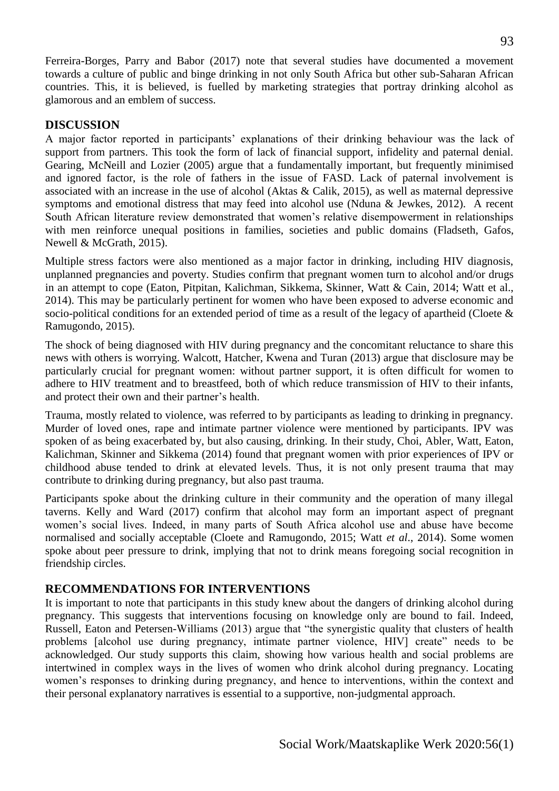Ferreira-Borges, Parry and Babor (2017) note that several studies have documented a movement towards a culture of public and binge drinking in not only South Africa but other sub-Saharan African countries. This, it is believed, is fuelled by marketing strategies that portray drinking alcohol as glamorous and an emblem of success.

### **DISCUSSION**

A major factor reported in participants' explanations of their drinking behaviour was the lack of support from partners. This took the form of lack of financial support, infidelity and paternal denial. Gearing, McNeill and Lozier (2005) argue that a fundamentally important, but frequently minimised and ignored factor, is the role of fathers in the issue of FASD. Lack of paternal involvement is associated with an increase in the use of alcohol (Aktas & Calik, 2015), as well as maternal depressive symptoms and emotional distress that may feed into alcohol use (Nduna & Jewkes, 2012). A recent South African literature review demonstrated that women's relative disempowerment in relationships with men reinforce unequal positions in families, societies and public domains (Fladseth, Gafos, Newell & McGrath, 2015).

Multiple stress factors were also mentioned as a major factor in drinking, including HIV diagnosis, unplanned pregnancies and poverty. Studies confirm that pregnant women turn to alcohol and/or drugs in an attempt to cope (Eaton, Pitpitan, Kalichman, Sikkema, Skinner, Watt & Cain, 2014; Watt et al., 2014). This may be particularly pertinent for women who have been exposed to adverse economic and socio-political conditions for an extended period of time as a result of the legacy of apartheid (Cloete & Ramugondo, 2015).

The shock of being diagnosed with HIV during pregnancy and the concomitant reluctance to share this news with others is worrying. Walcott, Hatcher, Kwena and Turan (2013) argue that disclosure may be particularly crucial for pregnant women: without partner support, it is often difficult for women to adhere to HIV treatment and to breastfeed, both of which reduce transmission of HIV to their infants, and protect their own and their partner's health.

Trauma, mostly related to violence, was referred to by participants as leading to drinking in pregnancy. Murder of loved ones, rape and intimate partner violence were mentioned by participants. IPV was spoken of as being exacerbated by, but also causing, drinking. In their study, Choi, Abler, Watt, Eaton, Kalichman, Skinner and Sikkema (2014) found that pregnant women with prior experiences of IPV or childhood abuse tended to drink at elevated levels. Thus, it is not only present trauma that may contribute to drinking during pregnancy, but also past trauma.

Participants spoke about the drinking culture in their community and the operation of many illegal taverns. Kelly and Ward (2017) confirm that alcohol may form an important aspect of pregnant women's social lives. Indeed, in many parts of South Africa alcohol use and abuse have become normalised and socially acceptable (Cloete and Ramugondo, 2015; Watt *et al*., 2014). Some women spoke about peer pressure to drink, implying that not to drink means foregoing social recognition in friendship circles.

## **RECOMMENDATIONS FOR INTERVENTIONS**

It is important to note that participants in this study knew about the dangers of drinking alcohol during pregnancy. This suggests that interventions focusing on knowledge only are bound to fail. Indeed, Russell, Eaton and Petersen-Williams (2013) argue that "the synergistic quality that clusters of health problems [alcohol use during pregnancy, intimate partner violence, HIV] create" needs to be acknowledged. Our study supports this claim, showing how various health and social problems are intertwined in complex ways in the lives of women who drink alcohol during pregnancy. Locating women's responses to drinking during pregnancy, and hence to interventions, within the context and their personal explanatory narratives is essential to a supportive, non-judgmental approach.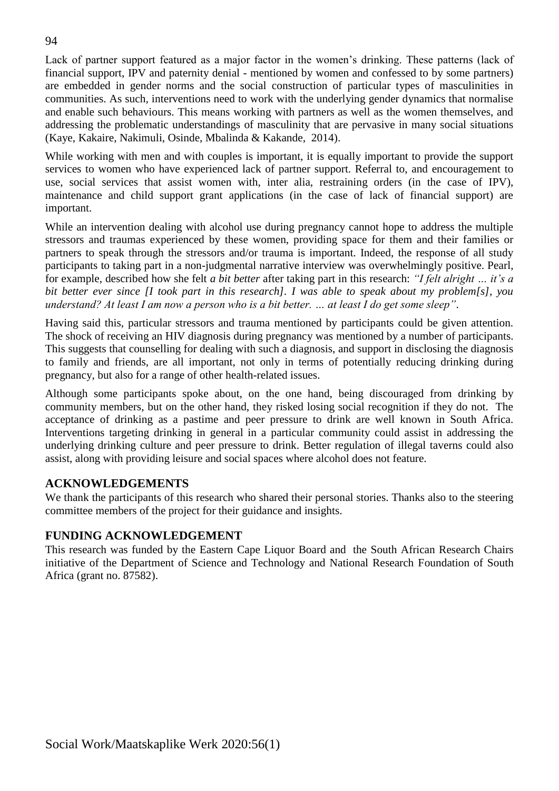Lack of partner support featured as a major factor in the women's drinking. These patterns (lack of financial support, IPV and paternity denial - mentioned by women and confessed to by some partners) are embedded in gender norms and the social construction of particular types of masculinities in communities. As such*,* interventions need to work with the underlying gender dynamics that normalise and enable such behaviours. This means working with partners as well as the women themselves, and addressing the problematic understandings of masculinity that are pervasive in many social situations (Kaye, Kakaire, Nakimuli, Osinde, Mbalinda & Kakande, 2014).

While working with men and with couples is important, it is equally important to provide the support services to women who have experienced lack of partner support. Referral to, and encouragement to use, social services that assist women with, inter alia, restraining orders (in the case of IPV), maintenance and child support grant applications (in the case of lack of financial support) are important.

While an intervention dealing with alcohol use during pregnancy cannot hope to address the multiple stressors and traumas experienced by these women, providing space for them and their families or partners to speak through the stressors and/or trauma is important. Indeed, the response of all study participants to taking part in a non-judgmental narrative interview was overwhelmingly positive. Pearl, for example, described how she felt *a bit better* after taking part in this research: *"I felt alright … it's a bit better ever since [I took part in this research]. I was able to speak about my problem[s], you understand? At least I am now a person who is a bit better. … at least I do get some sleep"*.

Having said this, particular stressors and trauma mentioned by participants could be given attention. The shock of receiving an HIV diagnosis during pregnancy was mentioned by a number of participants. This suggests that counselling for dealing with such a diagnosis, and support in disclosing the diagnosis to family and friends, are all important, not only in terms of potentially reducing drinking during pregnancy, but also for a range of other health-related issues.

Although some participants spoke about, on the one hand, being discouraged from drinking by community members, but on the other hand, they risked losing social recognition if they do not. The acceptance of drinking as a pastime and peer pressure to drink are well known in South Africa. Interventions targeting drinking in general in a particular community could assist in addressing the underlying drinking culture and peer pressure to drink. Better regulation of illegal taverns could also assist, along with providing leisure and social spaces where alcohol does not feature.

## **ACKNOWLEDGEMENTS**

We thank the participants of this research who shared their personal stories. Thanks also to the steering committee members of the project for their guidance and insights.

### **FUNDING ACKNOWLEDGEMENT**

This research was funded by the Eastern Cape Liquor Board and the South African Research Chairs initiative of the Department of Science and Technology and National Research Foundation of South Africa (grant no. 87582).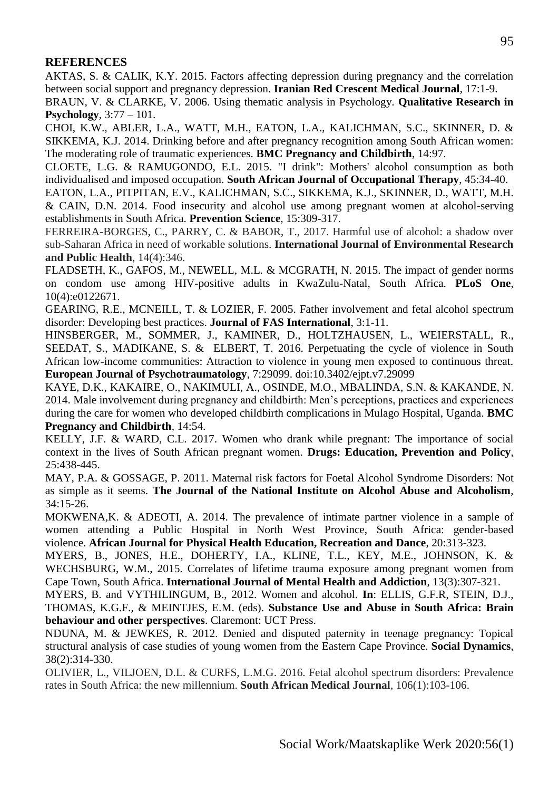### **REFERENCES**

AKTAS, S. & CALIK, K.Y. 2015. Factors affecting depression during pregnancy and the correlation between social support and pregnancy depression. **Iranian Red Crescent Medical Journal**, 17:1-9.

BRAUN, V. & CLARKE, V. 2006. Using thematic analysis in Psychology. **Qualitative Research in Psychology**, 3:77 – 101.

CHOI, K.W., ABLER, L.A., WATT, M.H., EATON, L.A., KALICHMAN, S.C., SKINNER, D. & SIKKEMA, K.J. 2014. Drinking before and after pregnancy recognition among South African women: The moderating role of traumatic experiences. **BMC Pregnancy and Childbirth**, 14:97.

CLOETE, L.G. & RAMUGONDO, E.L. 2015. "I drink": Mothers' alcohol consumption as both individualised and imposed occupation. **South African Journal of Occupational Therapy**, 45:34-40.

EATON, L.A., PITPITAN, E.V., KALICHMAN, S.C., SIKKEMA, K.J., SKINNER, D., WATT, M.H. & CAIN, D.N. 2014. Food insecurity and alcohol use among pregnant women at alcohol-serving establishments in South Africa. **Prevention Science**, 15:309-317.

FERREIRA-BORGES, C., PARRY, C. & BABOR, T., 2017. Harmful use of alcohol: a shadow over sub-Saharan Africa in need of workable solutions. **International Journal of Environmental Research and Public Health**, 14(4):346.

FLADSETH, K., GAFOS, M., NEWELL, M.L. & MCGRATH, N. 2015. The impact of gender norms on condom use among HIV-positive adults in KwaZulu-Natal, South Africa. **PLoS One**, 10(4):e0122671.

GEARING, R.E., MCNEILL, T. & LOZIER, F. 2005. Father involvement and fetal alcohol spectrum disorder: Developing best practices. **Journal of FAS International**, 3:1-11.

HINSBERGER, M., SOMMER, J., KAMINER, D., HOLTZHAUSEN, L., WEIERSTALL, R., SEEDAT, S., MADIKANE, S. & ELBERT, T. 2016. Perpetuating the cycle of violence in South African low-income communities: Attraction to violence in young men exposed to continuous threat. **European Journal of Psychotraumatology**, 7:29099. doi:10.3402/ejpt.v7.29099

KAYE, D.K., KAKAIRE, O., NAKIMULI, A., OSINDE, M.O., MBALINDA, S.N. & KAKANDE, N. 2014. Male involvement during pregnancy and childbirth: Men's perceptions, practices and experiences during the care for women who developed childbirth complications in Mulago Hospital, Uganda. **BMC Pregnancy and Childbirth**, 14:54.

KELLY, J.F. & WARD, C.L. 2017. Women who drank while pregnant: The importance of social context in the lives of South African pregnant women. **Drugs: Education, Prevention and Policy**, 25:438-445.

MAY, P.A. & GOSSAGE, P. 2011. Maternal risk factors for Foetal Alcohol Syndrome Disorders: Not as simple as it seems. **The Journal of the National Institute on Alcohol Abuse and Alcoholism**, 34:15-26.

MOKWENA,K. & ADEOTI, A. 2014. The prevalence of intimate partner violence in a sample of women attending a Public Hospital in North West Province, South Africa: gender-based violence. **African Journal for Physical Health Education, Recreation and Dance**, 20:313-323.

MYERS, B., JONES, H.E., DOHERTY, I.A., KLINE, T.L., KEY, M.E., JOHNSON, K. & WECHSBURG, W.M., 2015. Correlates of lifetime trauma exposure among pregnant women from Cape Town, South Africa. **International Journal of Mental Health and Addiction**, 13(3):307-321.

MYERS, B. and VYTHILINGUM, B., 2012. Women and alcohol. **In**: ELLIS, G.F.R, STEIN, D.J., THOMAS, K.G.F., & MEINTJES, E.M. (eds). **Substance Use and Abuse in South Africa: Brain behaviour and other perspectives**. Claremont: UCT Press.

NDUNA, M. & JEWKES, R. 2012. Denied and disputed paternity in teenage pregnancy: Topical structural analysis of case studies of young women from the Eastern Cape Province. **Social Dynamics**, 38(2):314-330.

OLIVIER, L., VILJOEN, D.L. & CURFS, L.M.G. 2016. Fetal alcohol spectrum disorders: Prevalence rates in South Africa: the new millennium. **South African Medical Journal**, 106(1):103-106.